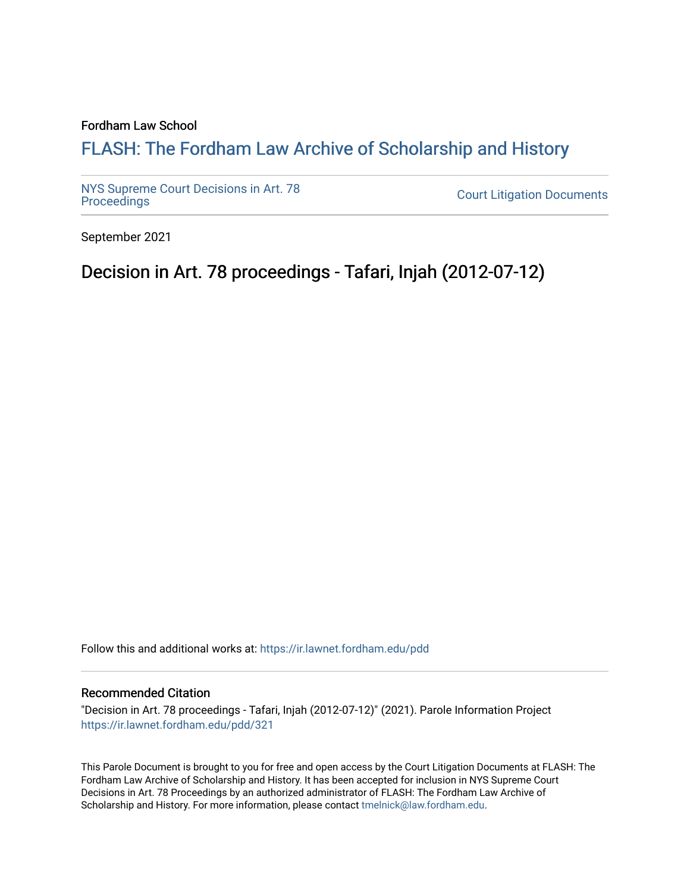## Fordham Law School

# FLASH: The For[dham Law Archive of Scholarship and Hist](https://ir.lawnet.fordham.edu/)ory

[NYS Supreme Court Decisions in Art. 78](https://ir.lawnet.fordham.edu/pdd)

**Court Litigation Documents** 

September 2021

# Decision in Art. 78 proceedings - Tafari, Injah (2012-07-12)

Follow this and additional works at: [https://ir.lawnet.fordham.edu/pdd](https://ir.lawnet.fordham.edu/pdd?utm_source=ir.lawnet.fordham.edu%2Fpdd%2F321&utm_medium=PDF&utm_campaign=PDFCoverPages)

### Recommended Citation

"Decision in Art. 78 proceedings - Tafari, Injah (2012-07-12)" (2021). Parole Information Project [https://ir.lawnet.fordham.edu/pdd/321](https://ir.lawnet.fordham.edu/pdd/321?utm_source=ir.lawnet.fordham.edu%2Fpdd%2F321&utm_medium=PDF&utm_campaign=PDFCoverPages)

This Parole Document is brought to you for free and open access by the Court Litigation Documents at FLASH: The Fordham Law Archive of Scholarship and History. It has been accepted for inclusion in NYS Supreme Court Decisions in Art. 78 Proceedings by an authorized administrator of FLASH: The Fordham Law Archive of Scholarship and History. For more information, please contact [tmelnick@law.fordham.edu](mailto:tmelnick@law.fordham.edu).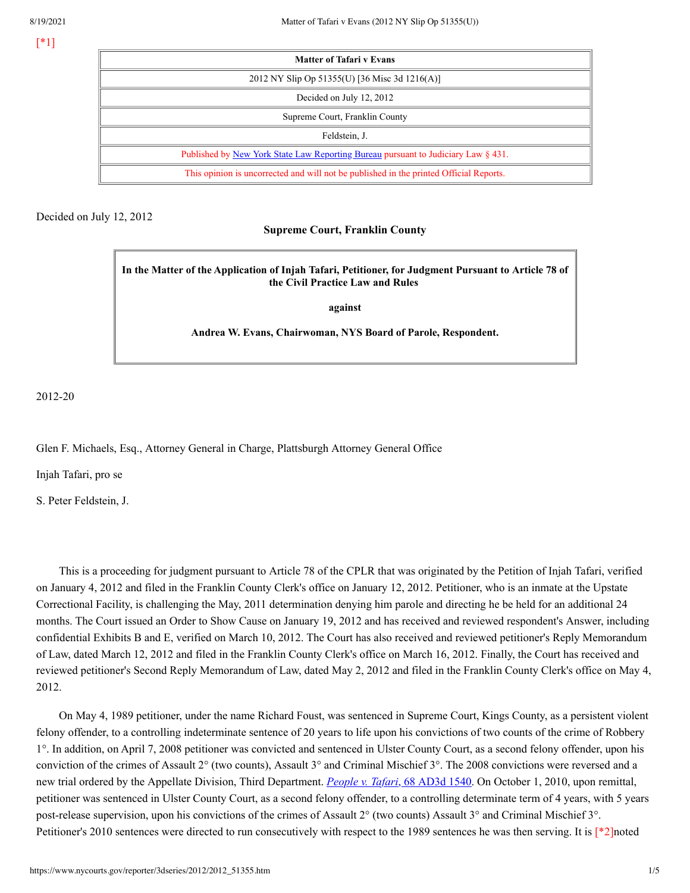[\*1]

| <b>Matter of Tafari v Evans</b>                                                          |
|------------------------------------------------------------------------------------------|
| 2012 NY Slip Op 51355(U) [36 Misc 3d 1216(A)]                                            |
| Decided on July 12, 2012                                                                 |
| Supreme Court, Franklin County                                                           |
| Feldstein, J.                                                                            |
| Published by <u>New York State Law Reporting Bureau</u> pursuant to Judiciary Law § 431. |
| This opinion is uncorrected and will not be published in the printed Official Reports.   |

## Decided on July 12, 2012

## **Supreme Court, Franklin County**

**In the Matter of the Application of Injah Tafari, Petitioner, for Judgment Pursuant to Article 78 of the Civil Practice Law and Rules**

**against**

**Andrea W. Evans, Chairwoman, NYS Board of Parole, Respondent.**

2012-20

Glen F. Michaels, Esq., Attorney General in Charge, Plattsburgh Attorney General Office

Injah Tafari, pro se

S. Peter Feldstein, J.

This is a proceeding for judgment pursuant to Article 78 of the CPLR that was originated by the Petition of Injah Tafari, verified on January 4, 2012 and filed in the Franklin County Clerk's office on January 12, 2012. Petitioner, who is an inmate at the Upstate Correctional Facility, is challenging the May, 2011 determination denying him parole and directing he be held for an additional 24 months. The Court issued an Order to Show Cause on January 19, 2012 and has received and reviewed respondent's Answer, including confidential Exhibits B and E, verified on March 10, 2012. The Court has also received and reviewed petitioner's Reply Memorandum of Law, dated March 12, 2012 and filed in the Franklin County Clerk's office on March 16, 2012. Finally, the Court has received and reviewed petitioner's Second Reply Memorandum of Law, dated May 2, 2012 and filed in the Franklin County Clerk's office on May 4, 2012.

On May 4, 1989 petitioner, under the name Richard Foust, was sentenced in Supreme Court, Kings County, as a persistent violent felony offender, to a controlling indeterminate sentence of 20 years to life upon his convictions of two counts of the crime of Robbery 1°. In addition, on April 7, 2008 petitioner was convicted and sentenced in Ulster County Court, as a second felony offender, upon his conviction of the crimes of Assault 2° (two counts), Assault 3° and Criminal Mischief 3°. The 2008 convictions were reversed and a new trial ordered by the Appellate Division, Third Department. *[People](https://www.nycourts.gov/reporter/3dseries/2009/2009_09997.htm) v. Tafari*, 68 AD3d 1540. On October 1, 2010, upon remittal, petitioner was sentenced in Ulster County Court, as a second felony offender, to a controlling determinate term of 4 years, with 5 years post-release supervision, upon his convictions of the crimes of Assault 2° (two counts) Assault 3° and Criminal Mischief 3°. Petitioner's 2010 sentences were directed to run consecutively with respect to the 1989 sentences he was then serving. It is [\*2]noted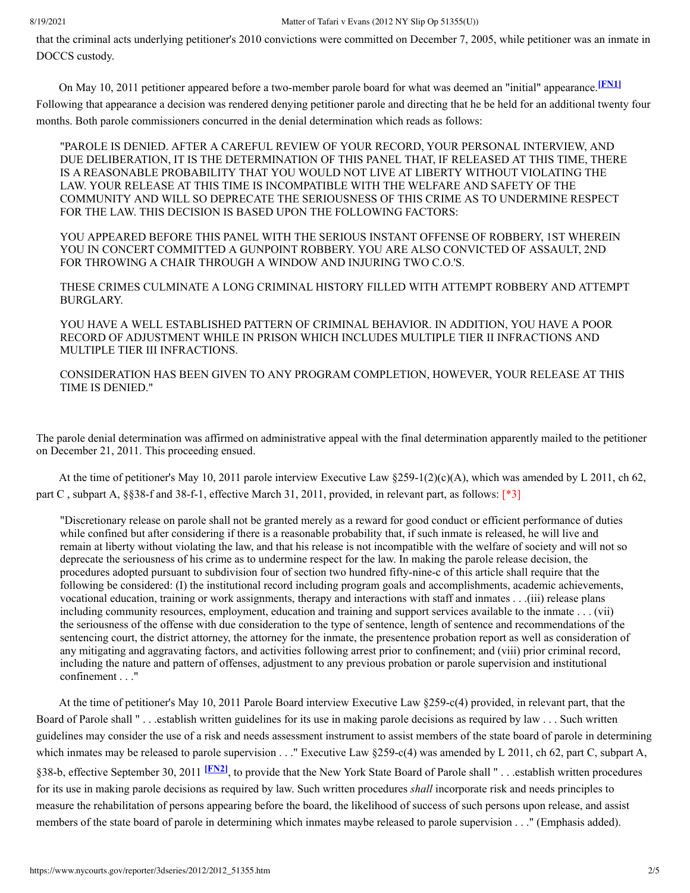that the criminal acts underlying petitioner's 2010 convictions were committed on December 7, 2005, while petitioner was an inmate in DOCCS custody.

On May 10, 2011 petitioner appeared before a two-member parole board for what was deemed an "initial" appearance. **[\[FN1\]](#page-5-0)** Following that appearance a decision was rendered denying petitioner parole and directing that he be held for an additional twenty four months. Both parole commissioners concurred in the denial determination which reads as follows:

<span id="page-2-0"></span>"PAROLE IS DENIED. AFTER A CAREFUL REVIEW OF YOUR RECORD, YOUR PERSONAL INTERVIEW, AND DUE DELIBERATION, IT IS THE DETERMINATION OF THIS PANEL THAT, IF RELEASED AT THIS TIME, THERE IS A REASONABLE PROBABILITY THAT YOU WOULD NOT LIVE AT LIBERTY WITHOUT VIOLATING THE LAW. YOUR RELEASE AT THIS TIME IS INCOMPATIBLE WITH THE WELFARE AND SAFETY OF THE COMMUNITY AND WILL SO DEPRECATE THE SERIOUSNESS OF THIS CRIME AS TO UNDERMINE RESPECT FOR THE LAW. THIS DECISION IS BASED UPON THE FOLLOWING FACTORS:

YOU APPEARED BEFORE THIS PANEL WITH THE SERIOUS INSTANT OFFENSE OF ROBBERY, 1ST WHEREIN YOU IN CONCERT COMMITTED A GUNPOINT ROBBERY. YOU ARE ALSO CONVICTED OF ASSAULT, 2ND FOR THROWING A CHAIR THROUGH A WINDOW AND INJURING TWO C.O.'S.

THESE CRIMES CULMINATE A LONG CRIMINAL HISTORY FILLED WITH ATTEMPT ROBBERY AND ATTEMPT BURGLARY.

YOU HAVE A WELL ESTABLISHED PATTERN OF CRIMINAL BEHAVIOR. IN ADDITION, YOU HAVE A POOR RECORD OF ADJUSTMENT WHILE IN PRISON WHICH INCLUDES MULTIPLE TIER II INFRACTIONS AND MULTIPLE TIER III INFRACTIONS.

CONSIDERATION HAS BEEN GIVEN TO ANY PROGRAM COMPLETION, HOWEVER, YOUR RELEASE AT THIS TIME IS DENIED."

The parole denial determination was affirmed on administrative appeal with the final determination apparently mailed to the petitioner on December 21, 2011. This proceeding ensued.

At the time of petitioner's May 10, 2011 parole interview Executive Law §259-1(2)(c)(A), which was amended by L 2011, ch 62, part C , subpart A, §§38-f and 38-f-1, effective March 31, 2011, provided, in relevant part, as follows: [\*3]

"Discretionary release on parole shall not be granted merely as a reward for good conduct or efficient performance of duties while confined but after considering if there is a reasonable probability that, if such inmate is released, he will live and remain at liberty without violating the law, and that his release is not incompatible with the welfare of society and will not so deprecate the seriousness of his crime as to undermine respect for the law. In making the parole release decision, the procedures adopted pursuant to subdivision four of section two hundred fifty-nine-c of this article shall require that the following be considered: (I) the institutional record including program goals and accomplishments, academic achievements, vocational education, training or work assignments, therapy and interactions with staff and inmates . . .(iii) release plans including community resources, employment, education and training and support services available to the inmate . . . (vii) the seriousness of the offense with due consideration to the type of sentence, length of sentence and recommendations of the sentencing court, the district attorney, the attorney for the inmate, the presentence probation report as well as consideration of any mitigating and aggravating factors, and activities following arrest prior to confinement; and (viii) prior criminal record, including the nature and pattern of offenses, adjustment to any previous probation or parole supervision and institutional confinement . . ."

<span id="page-2-1"></span>At the time of petitioner's May 10, 2011 Parole Board interview Executive Law §259-c(4) provided, in relevant part, that the Board of Parole shall " . . .establish written guidelines for its use in making parole decisions as required by law . . . Such written guidelines may consider the use of a risk and needs assessment instrument to assist members of the state board of parole in determining which inmates may be released to parole supervision  $\ldots$ ." Executive Law §259-c(4) was amended by L 2011, ch 62, part C, subpart A, §38-b, effective September 30, 2011 **[\[FN2\]](#page-5-1)**, to provide that the New York State Board of Parole shall " . . .establish written procedures for its use in making parole decisions as required by law. Such written procedures *shall* incorporate risk and needs principles to measure the rehabilitation of persons appearing before the board, the likelihood of success of such persons upon release, and assist members of the state board of parole in determining which inmates maybe released to parole supervision . . ." (Emphasis added).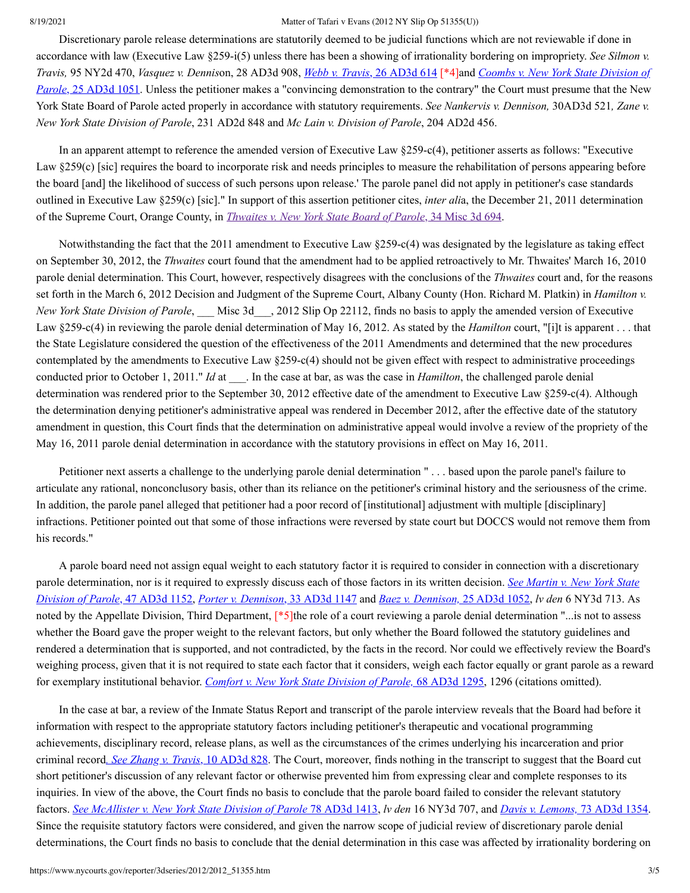Discretionary parole release determinations are statutorily deemed to be judicial functions which are not reviewable if done in accordance with law (Executive Law §259-i(5) unless there has been a showing of irrationality bordering on impropriety. *See Silmon v.* [Travis](https://www.nycourts.gov/reporter/3dseries/2006/2006_01064.htm), 95 NY2d 470, Vasquez v. Dennison, 28 AD3d 908, Webb v. Travis, 26 AD3d 614 [\*4] and Coombs v. New York State Division of *Parole*, 25 AD3d 1051. Unless the petitioner makes a "convincing [demonstration](https://www.nycourts.gov/reporter/3dseries/2006/2006_00426.htm) to the contrary" the Court must presume that the New York State Board of Parole acted properly in accordance with statutory requirements. *See Nankervis v. Dennison,* 30AD3d 521*, Zane v. New York State Division of Parole*, 231 AD2d 848 and *Mc Lain v. Division of Parole*, 204 AD2d 456.

In an apparent attempt to reference the amended version of Executive Law §259-c(4), petitioner asserts as follows: "Executive Law §259(c) [sic] requires the board to incorporate risk and needs principles to measure the rehabilitation of persons appearing before the board [and] the likelihood of success of such persons upon release.' The parole panel did not apply in petitioner's case standards outlined in Executive Law §259(c) [sic]." In support of this assertion petitioner cites, *inter ali*a, the December 21, 2011 determination of the Supreme Court, Orange County, in *[Thwaites](https://www.nycourts.gov/reporter/3dseries/2011/2011_21453.htm) v. New York State Board of Parole*, 34 Misc 3d 694.

Notwithstanding the fact that the 2011 amendment to Executive Law §259-c(4) was designated by the legislature as taking effect on September 30, 2012, the *Thwaites* court found that the amendment had to be applied retroactively to Mr. Thwaites' March 16, 2010 parole denial determination. This Court, however, respectively disagrees with the conclusions of the *Thwaites* court and, for the reasons set forth in the March 6, 2012 Decision and Judgment of the Supreme Court, Albany County (Hon. Richard M. Platkin) in *Hamilton v. New York State Division of Parole*, \_\_\_ Misc 3d\_\_\_, 2012 Slip Op 22112, finds no basis to apply the amended version of Executive Law §259-c(4) in reviewing the parole denial determination of May 16, 2012. As stated by the *Hamilton* court, "[i]t is apparent . . . that the State Legislature considered the question of the effectiveness of the 2011 Amendments and determined that the new procedures contemplated by the amendments to Executive Law §259-c(4) should not be given effect with respect to administrative proceedings conducted prior to October 1, 2011." *Id* at . In the case at bar, as was the case in *Hamilton*, the challenged parole denial determination was rendered prior to the September 30, 2012 effective date of the amendment to Executive Law §259-c(4). Although the determination denying petitioner's administrative appeal was rendered in December 2012, after the effective date of the statutory amendment in question, this Court finds that the determination on administrative appeal would involve a review of the propriety of the May 16, 2011 parole denial determination in accordance with the statutory provisions in effect on May 16, 2011.

Petitioner next asserts a challenge to the underlying parole denial determination " . . . based upon the parole panel's failure to articulate any rational, nonconclusory basis, other than its reliance on the petitioner's criminal history and the seriousness of the crime. In addition, the parole panel alleged that petitioner had a poor record of [institutional] adjustment with multiple [disciplinary] infractions. Petitioner pointed out that some of those infractions were reversed by state court but DOCCS would not remove them from his records."

A parole board need not assign equal weight to each statutory factor it is required to consider in connection with a discretionary parole [determination,](https://www.nycourts.gov/reporter/3dseries/2008/2008_00404.htm) nor is it required to expressly discuss each of those factors in its written decision. *See Martin v. New York State Division of Parole*, 47 AD3d 1152, *Porter v. [Dennison](https://www.nycourts.gov/reporter/3dseries/2006/2006_07653.htm)*, 33 AD3d 1147 and *Baez v. [Dennison,](https://www.nycourts.gov/reporter/3dseries/2006/2006_00427.htm)* 25 AD3d 1052, *lv den* 6 NY3d 713. As noted by the Appellate Division, Third Department, [\*5]the role of a court reviewing a parole denial determination "...is not to assess whether the Board gave the proper weight to the relevant factors, but only whether the Board followed the statutory guidelines and rendered a determination that is supported, and not contradicted, by the facts in the record. Nor could we effectively review the Board's weighing process, given that it is not required to state each factor that it considers, weigh each factor equally or grant parole as a reward for exemplary institutional behavior. *Comfort v. New York State [Division](https://www.nycourts.gov/reporter/3dseries/2009/2009_09115.htm) of Parole,* 68 AD3d 1295, 1296 (citations omitted).

In the case at bar, a review of the Inmate Status Report and transcript of the parole interview reveals that the Board had before it information with respect to the appropriate statutory factors including petitioner's therapeutic and vocational programming achievements, disciplinary record, release plans, as well as the circumstances of the crimes underlying his incarceration and prior criminal record*. See [Zhang](https://www.nycourts.gov/reporter/3dseries/2004/2004_06810.htm) v. Travis*, 10 AD3d 828. The Court, moreover, finds nothing in the transcript to suggest that the Board cut short petitioner's discussion of any relevant factor or otherwise prevented him from expressing clear and complete responses to its inquiries. In view of the above, the Court finds no basis to conclude that the parole board failed to consider the relevant statutory factors. See [McAllister](https://www.nycourts.gov/reporter/3dseries/2010/2010_08425.htm) v. New York State Division of Parole 78 AD3d 1413, ly den 16 NY3d 707, and Davis v. [Lemons,](https://www.nycourts.gov/reporter/3dseries/2010/2010_04294.htm) 73 AD3d 1354. Since the requisite statutory factors were considered, and given the narrow scope of judicial review of discretionary parole denial determinations, the Court finds no basis to conclude that the denial determination in this case was affected by irrationality bordering on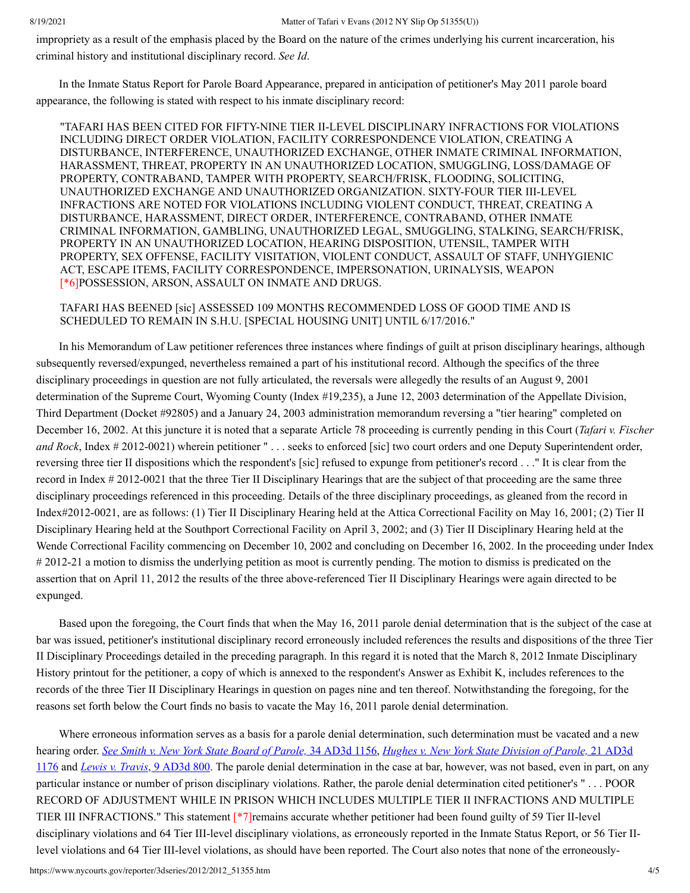impropriety as a result of the emphasis placed by the Board on the nature of the crimes underlying his current incarceration, his criminal history and institutional disciplinary record. *See Id*.

In the Inmate Status Report for Parole Board Appearance, prepared in anticipation of petitioner's May 2011 parole board appearance, the following is stated with respect to his inmate disciplinary record:

"TAFARI HAS BEEN CITED FOR FIFTY-NINE TIER II-LEVEL DISCIPLINARY INFRACTIONS FOR VIOLATIONS INCLUDING DIRECT ORDER VIOLATION, FACILITY CORRESPONDENCE VIOLATION, CREATING A DISTURBANCE, INTERFERENCE, UNAUTHORIZED EXCHANGE, OTHER INMATE CRIMINAL INFORMATION, HARASSMENT, THREAT, PROPERTY IN AN UNAUTHORIZED LOCATION, SMUGGLING, LOSS/DAMAGE OF PROPERTY, CONTRABAND, TAMPER WITH PROPERTY, SEARCH/FRISK, FLOODING, SOLICITING, UNAUTHORIZED EXCHANGE AND UNAUTHORIZED ORGANIZATION. SIXTY-FOUR TIER III-LEVEL INFRACTIONS ARE NOTED FOR VIOLATIONS INCLUDING VIOLENT CONDUCT, THREAT, CREATING A DISTURBANCE, HARASSMENT, DIRECT ORDER, INTERFERENCE, CONTRABAND, OTHER INMATE CRIMINAL INFORMATION, GAMBLING, UNAUTHORIZED LEGAL, SMUGGLING, STALKING, SEARCH/FRISK, PROPERTY IN AN UNAUTHORIZED LOCATION, HEARING DISPOSITION, UTENSIL, TAMPER WITH PROPERTY, SEX OFFENSE, FACILITY VISITATION, VIOLENT CONDUCT, ASSAULT OF STAFF, UNHYGIENIC ACT, ESCAPE ITEMS, FACILITY CORRESPONDENCE, IMPERSONATION, URINALYSIS, WEAPON [\*6]POSSESSION, ARSON, ASSAULT ON INMATE AND DRUGS.

TAFARI HAS BEENED [sic] ASSESSED 109 MONTHS RECOMMENDED LOSS OF GOOD TIME AND IS SCHEDULED TO REMAIN IN S.H.U. [SPECIAL HOUSING UNIT] UNTIL 6/17/2016."

In his Memorandum of Law petitioner references three instances where findings of guilt at prison disciplinary hearings, although subsequently reversed/expunged, nevertheless remained a part of his institutional record. Although the specifics of the three disciplinary proceedings in question are not fully articulated, the reversals were allegedly the results of an August 9, 2001 determination of the Supreme Court, Wyoming County (Index #19,235), a June 12, 2003 determination of the Appellate Division, Third Department (Docket #92805) and a January 24, 2003 administration memorandum reversing a "tier hearing" completed on December 16, 2002. At this juncture it is noted that a separate Article 78 proceeding is currently pending in this Court (*Tafari v. Fischer and Rock*, Index # 2012-0021) wherein petitioner " . . . seeks to enforced [sic] two court orders and one Deputy Superintendent order, reversing three tier II dispositions which the respondent's [sic] refused to expunge from petitioner's record . . ." It is clear from the record in Index # 2012-0021 that the three Tier II Disciplinary Hearings that are the subject of that proceeding are the same three disciplinary proceedings referenced in this proceeding. Details of the three disciplinary proceedings, as gleaned from the record in Index#2012-0021, are as follows: (1) Tier II Disciplinary Hearing held at the Attica Correctional Facility on May 16, 2001; (2) Tier II Disciplinary Hearing held at the Southport Correctional Facility on April 3, 2002; and (3) Tier II Disciplinary Hearing held at the Wende Correctional Facility commencing on December 10, 2002 and concluding on December 16, 2002. In the proceeding under Index # 2012-21 a motion to dismiss the underlying petition as moot is currently pending. The motion to dismiss is predicated on the assertion that on April 11, 2012 the results of the three above-referenced Tier II Disciplinary Hearings were again directed to be expunged.

Based upon the foregoing, the Court finds that when the May 16, 2011 parole denial determination that is the subject of the case at bar was issued, petitioner's institutional disciplinary record erroneously included references the results and dispositions of the three Tier II Disciplinary Proceedings detailed in the preceding paragraph. In this regard it is noted that the March 8, 2012 Inmate Disciplinary History printout for the petitioner, a copy of which is annexed to the respondent's Answer as Exhibit K, includes references to the records of the three Tier II Disciplinary Hearings in question on pages nine and ten thereof. Notwithstanding the foregoing, for the reasons set forth below the Court finds no basis to vacate the May 16, 2011 parole denial determination.

Where erroneous information serves as a basis for a parole denial determination, such determination must be vacated and a new hearing order. See Smith v. New York State Board of [Parole,](https://www.nycourts.gov/reporter/3dseries/2006/2006_08858.htm) 34 AD3d 1156, Hughes v. New York State Division of Parole, 21 AD3d 1176 and *Lewis v. [Travis](https://www.nycourts.gov/reporter/3dseries/2004/2004_06229.htm)*, 9 AD3d 800. The parole denial [determination](https://www.nycourts.gov/reporter/3dseries/2005/2005_06722.htm) in the case at bar, however, was not based, even in part, on any particular instance or number of prison disciplinary violations. Rather, the parole denial determination cited petitioner's " . . . POOR RECORD OF ADJUSTMENT WHILE IN PRISON WHICH INCLUDES MULTIPLE TIER II INFRACTIONS AND MULTIPLE TIER III INFRACTIONS." This statement [\*7]remains accurate whether petitioner had been found guilty of 59 Tier II-level disciplinary violations and 64 Tier III-level disciplinary violations, as erroneously reported in the Inmate Status Report, or 56 Tier IIlevel violations and 64 Tier III-level violations, as should have been reported. The Court also notes that none of the erroneously-